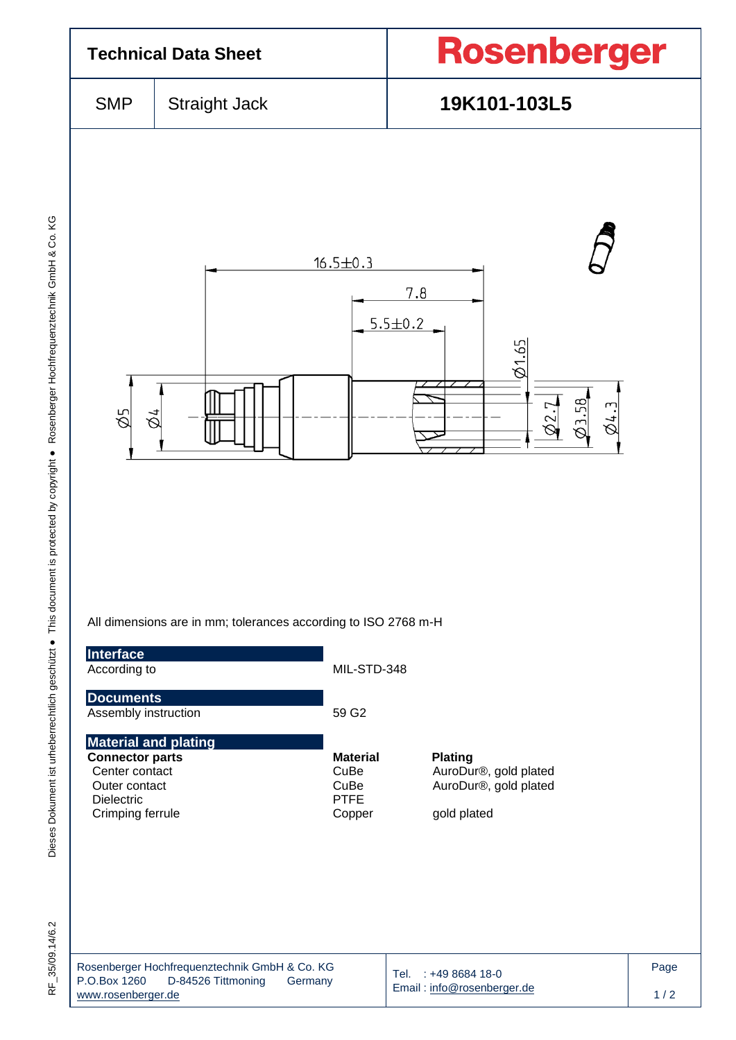